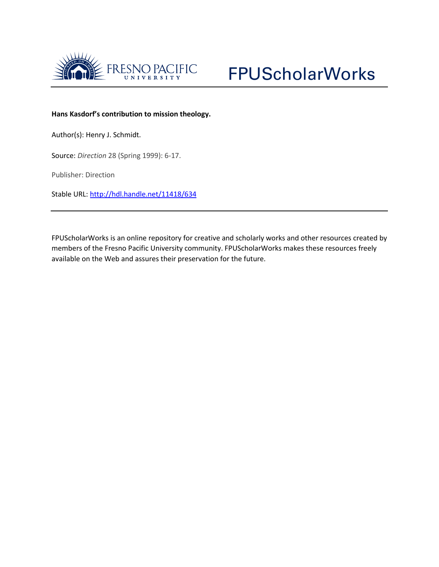



### **Hans Kasdorf's contribution to mission theology.**

Author(s): Henry J. Schmidt.

Source: *Direction* 28 (Spring 1999): 6-17.

Publisher: Direction

Stable URL:<http://hdl.handle.net/11418/634>

FPUScholarWorks is an online repository for creative and scholarly works and other resources created by members of the Fresno Pacific University community. FPUScholarWorks makes these resources freely available on the Web and assures their preservation for the future.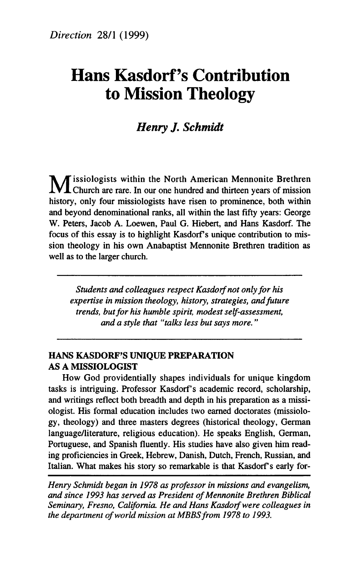# **Hans Kasdorf 's Contribution to Mission Theology**

## *Henry J. Schmidt*

**M** issiologists within the North American Mennonite Brethren **L** Church are rare. In our one hundred and thirteen years of mission history, only four missiologists have risen to prominence, both within and beyond denominational ranks, all within the last fifty years: George W. Peters, Jacob A. Loewen, Paul G. Hiebert, and Hans Kasdorf. The focus of this essay is to highlight Kasdorf's unique contribution to mission theology in his own Anabaptist Mennonite Brethren tradition as well as to the larger church.

*Students and colleagues respect Kasdorf not only for his expertise in mission theology, history, strategies, and future trends, but for his humble spirit, modest self-assessment, and a style that "talks less but says more. "* 

#### **HANS KASDORF'S UNIQUE PREPARATION AS A MISSIOLOGIST**

How God providentially shapes individuals for unique kingdom tasks is intriguing. Professor Kasdorf's academic record, scholarship, and writings reflect both breadth and depth in his preparation as a missiologist. His formal education includes two earned doctorates (missiology, theology) and three masters degrees (historical theology, German language/literature, religious education). He speaks English, German, Portuguese, and Spanish fluently. His studies have also given him reading proficiencies in Greek, Hebrew, Danish, Dutch, French, Russian, and Italian. What makes his story so remarkable is that Kasdorf's early for-

*Henry Schmidt began in 1978 as professor in missions and evangelism, and since 1993 has served as President of Mennonite Brethren Biblical Seminary, Fresno, California. He and Hans Kasdorf were colleagues in the department of world mission at MBBSfrom 1978 to 1993.*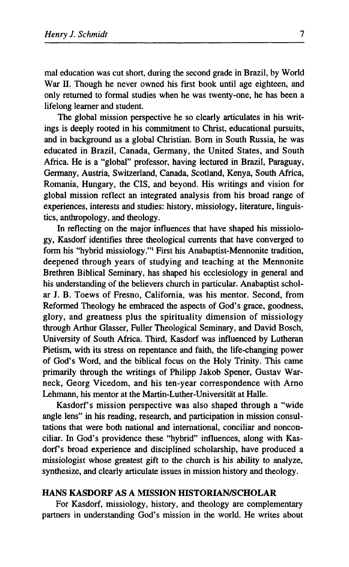mal education was cut short, during the second grade in Brazil, by World War II. Though he never owned his first book until age eighteen, and only returned to formal studies when he was twenty-one, he has been a lifelong learner and student.

The global mission perspective he so clearly articulates in his writings is deeply rooted in his commitment to Christ, educational pursuits, and in background as a global Christian. Born in South Russia, he was educated in Brazil, Canada, Germany, the United States, and South Africa. He is a "global" professor, having lectured in Brazil, Paraguay, Germany, Austria, Switzerland, Canada, Scotland, Kenya, South Africa, Romania, Hungary, the CIS, and beyond. His writings and vision for global mission reflect an integrated analysis from his broad range of experiences, interests and studies: history, missiology, literature, linguistics, anthropology, and theology.

In reflecting on the major influences that have shaped his missiology, Kasdorf identifies three theological currents that have converged to form his "hybrid missiology."<sup>1</sup> First his Anabaptist-Mennonite tradition, deepened through years of studying and teaching at the Mennonite Brethren Biblical Seminary, has shaped his ecclesiology in general and his understanding of the believers church in particular. Anabaptist scholar J. Β. Toews of Fresno, California, was his mentor. Second, from Reformed Theology he embraced the aspects of God's grace, goodness, glory, and greatness plus the spirituality dimension of missiology through Arthur Glasser, Fuller Theological Seminary, and David Bosch, University of South Africa. Third, Kasdorf was influenced by Lutheran Pietism, with its stress on repentance and faith, the life-changing power of God's Word, and the biblical focus on the Holy Trinity. This came primarily through the writings of Philipp Jakob Spener, Gustav Warneck, Georg Vicedom, and his ten-year correspondence with Arno Lehmann, his mentor at the Martin-Luther-Universität at Halle.

Kasdorf's mission perspective was also shaped through a "wide" angle lens" in his reading, research, and participation in mission consultations that were both national and international, conciliar and nonconciliar. In God's providence these "hybrid" influences, along with Kasdorf's broad experience and disciplined scholarship, have produced a missiologist whose greatest gift to the church is his ability to analyze, synthesize, and clearly articulate issues in mission history and theology.

#### **HANS KASDORF AS A MISSION HISTORIAN/SCHOLAR**

For Kasdorf, missiology, history, and theology are complementary partners in understanding God's mission in the world. He writes about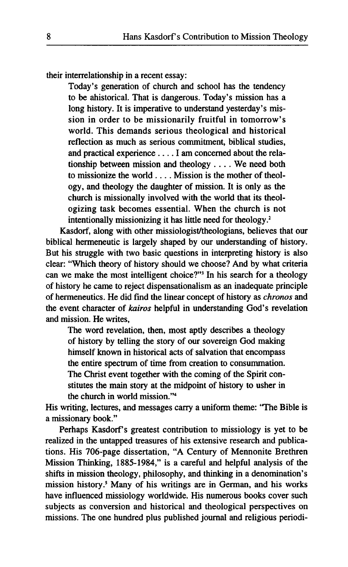**their interrelationship in a recent essay:** 

**Today's generation of church and school has the tendency to be ahistorical. That is dangerous. Today's mission has a long history. It is imperative to understand yesterday's mission in order to be missionarily fruitful in tomorrow's world. This demands serious theological and historical reflection as much as serious commitment, biblical studies,**  and practical experience . . . . I am concerned about the rela**tionship between mission and theology ... . We need both to missionize the world ... . Mission is the mother of theology, and theology the daughter of mission. It is only as the church is missionally involved with the world that its theologizing task becomes essential. When the church is not intentionally missionizing it has little need for theology.<sup>2</sup>**

**Kasdorf, along with other missiologist/theologians, believes that our biblical hermeneutic is largely shaped by our understanding of history. But his struggle with two basic questions in interpreting history is also clear: "Which theory of history should we choose? And by what criteria can we make the most intelligent choice?"<sup>3</sup> In his search for a theology of history he came to reject dispensationalism as an inadequate principle of hermeneutics. He did find the linear concept of history as** *chronos* **and the event character of** *kairos* **helpful in understanding God's revelation and mission. He writes,** 

**The word revelation, then, most aptly describes a theology of history by telling the story of our sovereign God making himself known in historical acts of salvation that encompass the entire spectrum of time from creation to consummation. The Christ event together with the coming of the Spirit constitutes the main story at the midpoint of history to usher in the church in world mission."<sup>4</sup>**

**His writing, lectures, and messages carry a uniform theme: 'The Bible is a missionary book."** 

Perhaps Kasdorf's greatest contribution to missiology is yet to be **realized in the untapped treasures of his extensive research and publications. His 706-page dissertation, "A Century of Mennonite Brethren Mission Thinking, 1885-1984," is a careful and helpful analysis of the shifts in mission theology, philosophy, and thinking in a denomination's mission history.<sup>5</sup> Many of his writings are in German, and his works have influenced missiology worldwide. His numerous books cover such subjects as conversion and historical and theological perspectives on missions. The one hundred plus published journal and religious periodi-**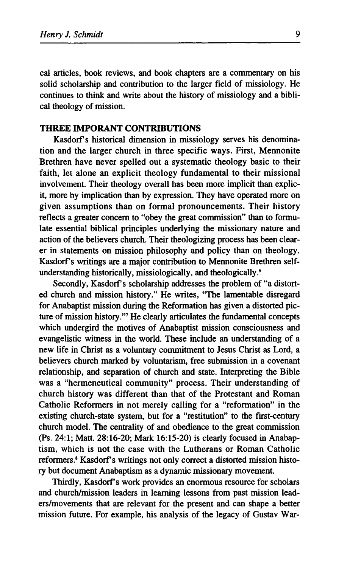cal articles, book reviews, and book chapters are a commentary on his solid scholarship and contribution to the larger field of missiology. He continues to think and write about the history of missiology and a biblical theology of mission.

#### **THREE IMPORANT CONTRIBUTIONS**

Kasdorf's historical dimension in missiology serves his denomination and the larger church in three specific ways. First, Mennonite Brethren have never spelled out a systematic theology basic to their faith, let alone an explicit theology fundamental to their missional involvement. Their theology overall has been more implicit than explicit, more by implication than by expression. They have operated more on given assumptions than on formal pronouncements. Their history reflects a greater concern to "obey the great commission" than to formulate essential biblical principles underlying the missionary nature and action of the believers church. Their theologizing process has been clearer in statements on mission philosophy and policy than on theology. Kasdorf's writings are a major contribution to Mennonite Brethren selfunderstanding historically, missiologically, and theologically.<sup>6</sup>

Secondly, Kasdorf's scholarship addresses the problem of "a distorted church and mission history." He writes, "The lamentable disregard for Anabaptist mission during the Reformation has given a distorted picture of mission history."<sup>7</sup> He clearly articulates the fundamental concepts which undergird the motives of Anabaptist mission consciousness and evangelistic witness in the world. These include an understanding of a new life in Christ as a voluntary commitment to Jesus Christ as Lord, a believers church marked by voluntarism, free submission in a covenant relationship, and separation of church and state. Interpreting the Bible was a "hermeneutical community" process. Their understanding of church history was different than that of the Protestant and Roman Catholic Reformers in not merely calling for a "reformation" in the existing church-state system, but for a "restitution" to the first-century church model. The centrality of and obedience to the great commission (Ps. 24:1; Matt. 28:16-20; Mark 16:15-20) is clearly focused in Anabaptism, which is not the case with the Lutherans or Roman Catholic reformers.<sup>8</sup> Kasdorf's writings not only correct a distorted mission history but document Anabaptism as a dynamic missionary movement.

Thirdly, Kasdorf's work provides an enormous resource for scholars and church/mission leaders in learning lessons from past mission leaders/movements that are relevant for the present and can shape a better mission future. For example, his analysis of the legacy of Gustav War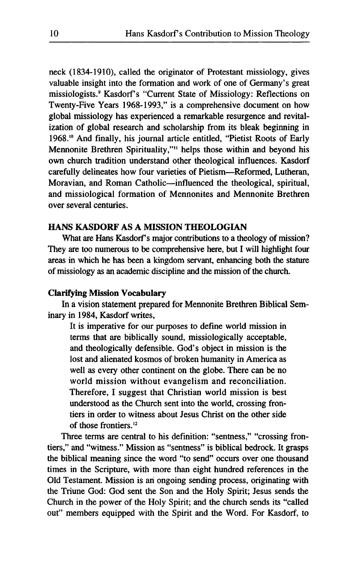neck (1834-1910), called the originator of Protestant missiology, gives valuable insight into the formation and work of one of Germany's great missiologists.<sup>9</sup> Kasdorf's "Current State of Missiology: Reflections on Twenty-Five Years 1968-1993," is a comprehensive document on how global missiology has experienced a remarkable resurgence and revitalization of global research and scholarship from its bleak beginning in 1968.<sup>10</sup> And finally, his journal article entitled, "Pietist Roots of Early Mennonite Brethren Spirituality,"<sup>11</sup> helps those within and beyond his own church tradition understand other theological influences. Kasdorf carefully delineates how four varieties of Pietism—Reformed, Lutheran, Moravian, and Roman Catholic—influenced the theological, spiritual, and missiological formation of Mennonites and Mennonite Brethren over several centuries.

#### **HANS KASDORF AS A MISSION THEOLOGIAN**

What are Hans Kasdorf's major contributions to a theology of mission? They are too numerous to be comprehensive here, but I will highlight four areas in which he has been a kingdom servant, enhancing both the stature of missiology as an academic discipline and the mission of the church.

#### **Clarifying Mission Vocabulary**

In a vision statement prepared for Mennonite Brethren Biblical Seminary in 1984, Kasdorf writes,

It is imperative for our purposes to define world mission in terms that are biblically sound, missiologically acceptable, and theologically defensible. God's object in mission is the lost and alienated kosmos of broken humanity in America as well as every other continent on the globe. There can be no world mission without evangelism and reconciliation. Therefore, I suggest that Christian world mission is best understood as the Church sent into the world, crossing frontiers in order to witness about Jesus Christ on the other side of those frontiers.<sup>12</sup>

Three terms are central to his definition: "sentness," "crossing frontiers," and "witness." Mission as "sentness" is biblical bedrock. It grasps the biblical meaning since the word "to send" occurs over one thousand times in the Scripture, with more than eight hundred references in the Old Testament. Mission is ari ongoing sending process, originating with the Triune God: God sent the Son and the Holy Spirit; Jesus sends the Church in the power of the Holy Spirit; and the church sends its "called out" members equipped with the Spirit and the Word. For Kasdorf, to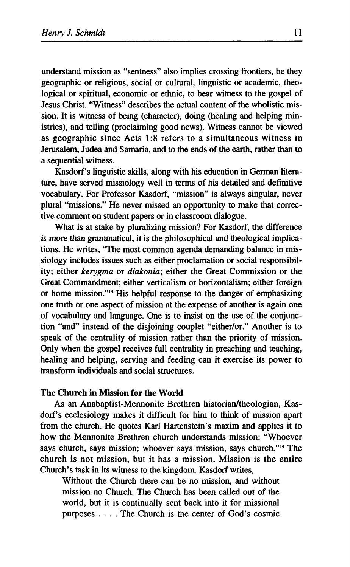understand mission as "sentness" also implies crossing frontiers, be they geographic or religious, social or cultural, linguistic or academic, theological or spiritual, economic or ethnic, to bear witness to the gospel of Jesus Christ. "Witness" describes the actual content of the wholistic mission. It is witness of being (character), doing (healing and helping ministries), and telling (proclaiming good news). Witness cannot be viewed as geographic since Acts 1:8 refers to a simultaneous witness in Jerusalem, Judea and Samaria, and to the ends of the earth, rather than to a sequential witness.

Kasdorf's linguistic skills, along with his education in German literature, have served missiology well in terms of his detailed and definitive vocabulary. For Professor Kasdorf, "mission" is always singular, never plural "missions." He never missed an opportunity to make that corrective comment on student papers or in classroom dialogue.

What is at stake by pluralizing mission? For Kasdorf, the difference is more than grammatical, it is the philosophical and theological implications. He writes, "The most common agenda demanding balance in missiology includes issues such as either proclamation or social responsibility; either *kerygma* or *diakonia;* either the Great Commission or the Great Commandment; either verticalism or horizontalism; either foreign or home mission."<sup>13</sup> His helpful response to the danger of emphasizing one truth or one aspect of mission at the expense of another is again one of vocabulary and language. One is to insist on the use of the conjunction "and" instead of the disjoining couplet "either/or." Another is to speak of the centrality of mission rather than the priority of mission. Only when the gospel receives full centrality in preaching and teaching, healing and helping, serving and feeding can it exercise its power to transform individuals and social structures.

#### **The Church in Mission for the World**

As an Anabaptist-Mennonite Brethren historian/theologian, Kasdorf's ecclesiology makes it difficult for him to think of mission apart from the church. He quotes Karl Hartenstein's maxim and applies it to how the Mennonite Brethren church understands mission: "Whoever says church, says mission; whoever says mission, says church."<sup>14</sup> The church is not mission, but it has a mission. Mission is the entire Church's task in its witness to the kingdom. Kasdorf writes,

Without the Church there can be no mission, and without mission no Church. The Church has been called out of the world, but it is continually sent back into it for missional purposes ... . The Church is the center of God's cosmic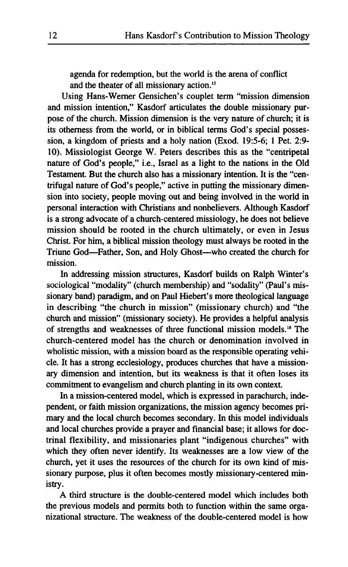**agenda for redemption, but the world is the arena of conflict and the theater of all missionary action.<sup>15</sup>**

**Using Hans-Werner Gensichen's couplet term "mission dimension and mission intention," Kasdorf articulates the double missionary purpose of the church. Mission dimension is the very nature of church; it is its otherness from the world, or in biblical terms God's special possession, a kingdom of priests and a holy nation (Exod. 19:5-6; 1 Pet. 2:9- 10). Missiologist George W. Peters describes this as the "centripetal nature of God's people," i.e., Israel as a light to the nations in the Old Testament. But the church also has a missionary intention. It is the "centrifugal nature of God's people," active in putting the missionary dimension into society, people moving out and being involved in the world in personal interaction with Christians and nonbelievers. Although Kasdorf is a strong advocate of a church-centered missiology, he does not believe mission should be rooted in the church ultimately, or even in Jesus Christ. For him, a biblical mission theology must always be rooted in the Triune God—Father, Son, and Holy Ghost—who created the church for mission.** 

**In addressing mission structures, Kasdorf builds on Ralph Winter's sociological "modality" (church membership) and "sodality" (Paul's missionary band) paradigm, and on Paul Hiebert's more theological language in describing "the church in mission" (missionary church) and "the church and mission" (missionary society). He provides a helpful analysis of strengths and weaknesses of three functional mission models.<sup>16</sup> The church-centered model has the church or denomination involved in wholistic mission, with a mission board as the responsible operating vehicle. It has a strong ecclesiology, produces churches that have a missionary dimension and intention, but its weakness is that it often loses its commitment to evangelism and church planting in its own context.** 

**In a mission-centered model, which is expressed in parachurch, independent, or faith mission organizations, the mission agency becomes primary and the local church becomes secondary. In this model individuals and local churches provide a prayer and financial base; it allows for doctrinal flexibility, and missionaries plant "indigenous churches" with which they often never identify. Its weaknesses are a low view of the church, yet it uses the resources of the church for its own kind of missionary purpose, plus it often becomes mostly missionary-centered ministry.** 

**A third structure is the double-centered model which includes both the previous models and permits both to function within the same organizational structure. The weakness of the double-centered model is how**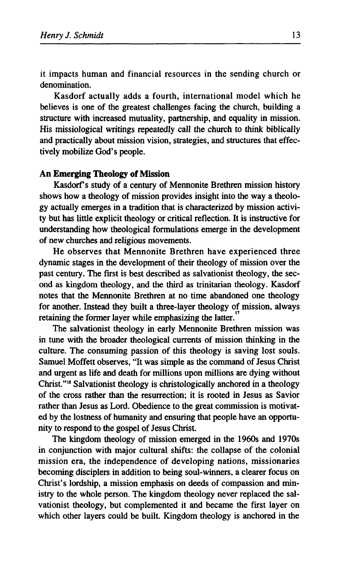it impacts human and financial resources in the sending church or denomination.

Kasdorf actually adds a fourth, international model which he believes is one of the greatest challenges facing the church, building a structure with increased mutuality, partnership, and equality in mission. His missiological writings repeatedly call the church to think biblically and practically about mission vision, strategies, and structures that effectively mobilize God's people.

#### **An Emerging Theology of Mission**

Kasdorf's study of a century of Mennonite Brethren mission history shows how a theology of mission provides insight into the way a theology actually emerges in a tradition that is characterized by mission activity but has little explicit theology or critical reflection. It is instructive for understanding how theological formulations emerge in the development of new churches and religious movements.

He observes that Mennonite Brethren have experienced three dynamic stages in the development of their theology of mission over the past century. The first is best described as salvationist theology, the second as kingdom theology, and the third as trinitarian theology. Kasdorf notes that the Mennonite Brethren at no time abandoned one theology for another. Instead they built a three-layer theology of mission, always retaining the former layer while emphasizing the latter.

The salvationist theology in early Mennonite Brethren mission was in tune with the broader theological currents of mission thinking in the culture. The consuming passion of this theology is saving lost souls. Samuel Moffett observes, "It was simple as the command of Jesus Christ and urgent as life and death for millions upon millions are dying without Christ."<sup>18</sup> Salvationist theology is christologically anchored in a theology of the cross rather than the resurrection; it is rooted in Jesus as Savior rather than Jesus as Lord. Obedience to the great commission is motivated by the lostness of humanity and ensuring that people have an opportunity to respond to the gospel of Jesus Christ.

The kingdom theology of mission emerged in the 1960s and 1970s in conjunction with major cultural shifts: the collapse of the colonial mission era, the independence of developing nations, missionaries becoming disciplers in addition to being soul-winners, a clearer focus on Christ's lordship, a mission emphasis on deeds of compassion and ministry to the whole person. The kingdom theology never replaced the Salvationist theology, but complemented it and became the first layer on which other layers could be built. Kingdom theology is anchored in the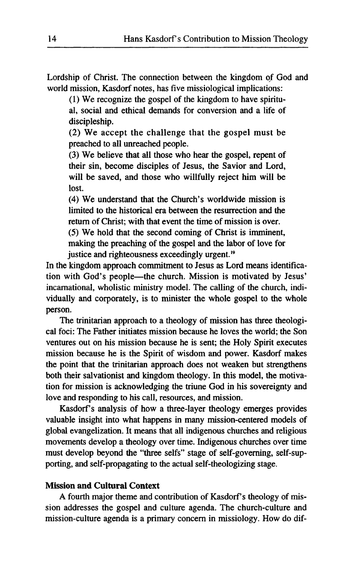Lordship of Christ. The connection between the kingdom of God and world mission, Kasdorf notes, has five missiological implications:

(1) We recognize the gospel of the kingdom to have spiritual, social and ethical demands for conversion and a life of discipleship.

(2) We accept the challenge that the gospel must be preached to all unreached people.

(3) We believe that all those who hear the gospel, repent of their sin, become disciples of Jesus, the Savior and Lord, will be saved, and those who willfully reject him will be lost.

(4) We understand that the Church's worldwide mission is limited to the historical era between the resurrection and the return of Christ; with that event the time of mission is over.

(5) We hold that the second coming of Christ is imminent, making the preaching of the gospel and the labor of love for justice and righteousness exceedingly urgent.<sup>19</sup>

In the kingdom approach commitment to Jesus as Lord means identification with God's people—the church. Mission is motivated by Jesus' incarnational, wholistic ministry model. The calling of the church, individually and corporately, is to minister the whole gospel to the whole person.

The trinitarian approach to a theology of mission has three theological foci: The Father initiates mission because he loves the world; the Son ventures out on his mission because he is sent; the Holy Spirit executes mission because he is the Spirit of wisdom and power. Kasdorf makes the point that the trinitarian approach does not weaken but strengthens both their salvationist and kingdom theology. In this model, the motivation for mission is acknowledging the triune God in his sovereignty and love and responding to his call, resources, and mission.

Kasdorf's analysis of how a three-layer theology emerges provides valuable insight into what happens in many mission-centered models of global evangelization. It means that all indigenous churches and religious movements develop a theology over time. Indigenous churches over time must develop beyond the "three selfs" stage of self-governing, self-supporting, and self-propagating to the actual self-theologizing stage.

#### **Mission and Cultural Context**

A fourth major theme and contribution of Kasdorf's theology of mission addresses the gospel and culture agenda. The church-culture and mission-culture agenda is a primary concern in missiology. How do dif-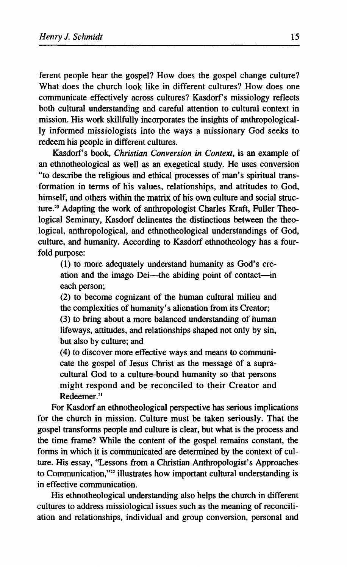**ferent people hear the gospel? How does the gospel change culture? What does the church look like in different cultures? How does one communicate effectively across cultures? Kasdorf s missiology reflects both cultural understanding and careful attention to cultural context in mission. His work skillfully incorporates the insights of anthropologically informed missiologists into the ways a missionary God seeks to redeem his people in different cultures.** 

Kasdorf's book, *Christian Conversion in Context*, is an example of **an ethnotheological as well as an exegetical study. He uses conversion "to describe the religious and ethical processes of man's spiritual transformation in terms of his values, relationships, and attitudes to God, himself, and others within the matrix of his own culture and social structure.<sup>20</sup> Adapting the work of anthropologist Charles Kraft, Fuller Theological Seminary, Kasdorf delineates the distinctions between the theological, anthropological, and ethnotheological understandings of God, culture, and humanity. According to Kasdorf ethnotheology has a fourfold purpose:** 

**(1) to more adequately understand humanity as God's creation and the imago Dei—the abiding point of contact—in each person;** 

**(2) to become cognizant of the human cultural milieu and the complexities of humanity's alienation from its Creator;** 

**(3) to bring about a more balanced understanding of human lifeways, attitudes, and relationships shaped not only by sin, but also by culture; and** 

**(4) to discover more effective ways and means to communicate the gospel of Jesus Christ as the message of a supracultural God to a culture-bound humanity so that persons might respond and be reconciled to their Creator and Redeemer.<sup>21</sup>**

**For Kasdorf an ethnotheological perspective has serious implications for the church in mission. Culture must be taken seriously. That the gospel transforms people and culture is clear, but what is the process and the time frame? While the content of the gospel remains constant, the forms in which it is communicated are determined by the context of culture. His essay, "Lessons from a Christian Anthropologist's Approaches to Communication,"<sup>22</sup> illustrates how important cultural understanding is in effective communication.** 

**His ethnotheological understanding also helps the church in different cultures to address missiological issues such as the meaning of reconciliation and relationships, individual and group conversion, personal and**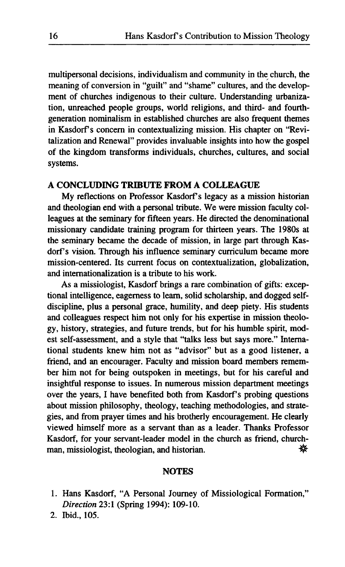multipersonal decisions, individualism and community in the church, the meaning of conversion in "guilt" and "shame" cultures, and the development of churches indigenous to their culture. Understanding urbanization, unreached people groups, world religions, and third- and fourthgeneration nominalism in established churches are also frequent themes in Kasdorf's concern in contextualizing mission. His chapter on "Revitalization and Renewal" provides invaluable insights into how the gospel of the kingdom transforms individuals, churches, cultures, and social systems.

#### **A CONCLUDING TRIBUTE FROM A COLLEAGUE**

My reflections on Professor Kasdorf's legacy as a mission historian and theologian end with a personal tribute. We were mission faculty colleagues at the seminary for fifteen years. He directed the denominational missionary candidate training program for thirteen years. The 1980s at the seminary became the decade of mission, in large part through Kasdorf's vision. Through his influence seminary curriculum became more mission-centered. Its current focus on contextualization, globalization, and internationalization is a tribute to his work.

As a missiologist, Kasdorf brings a rare combination of gifts: exceptional intelligence, eagerness to learn, solid scholarship, and dogged selfdiscipline, plus a personal grace, humility, and deep piety. His students and colleagues respect him not only for his expertise in mission theology, history, strategies, and future trends, but for his humble spirit, modest self-assessment, and a style that "talks less but says more." International students knew him not as "advisor" but as a good listener, a friend, and an encourager. Faculty and mission board members remember him not for being outspoken in meetings, but for his careful and insightful response to issues. In numerous mission department meetings over the years, I have benefited both from Kasdorf's probing questions about mission philosophy, theology, teaching methodologies, and strategies, and from prayer times and his brotherly encouragement. He clearly viewed himself more as a servant than as a leader. Thanks Professor Kasdorf, for your servant-leader model in the church as friend, churchman, missiologist, theologian, and historian.  $\mathcal{F}$ 

#### **NOTES**

- 1. Hans Kasdorf, "A Personal Journey of Missiological Formation," *Direction* 23:1 (Spring 1994): 109-10.
- 2. Ibid., 105.